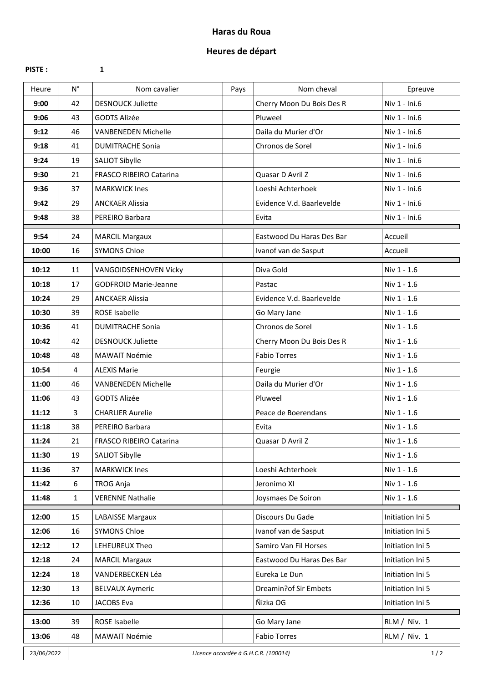## **Haras du Roua**

## **Heures de départ**

**PISTE :**

**1**

| Heure      | $N^{\circ}$                                 | Nom cavalier                   | Pays | Nom cheval                | Epreuve          |  |
|------------|---------------------------------------------|--------------------------------|------|---------------------------|------------------|--|
| 9:00       | 42                                          | <b>DESNOUCK Juliette</b>       |      | Cherry Moon Du Bois Des R | Niv 1 - Ini.6    |  |
| 9:06       | 43                                          | <b>GODTS Alizée</b>            |      | Pluweel                   | Niv 1 - Ini.6    |  |
| 9:12       | 46                                          | <b>VANBENEDEN Michelle</b>     |      | Daila du Murier d'Or      | Niv 1 - Ini.6    |  |
| 9:18       | 41                                          | <b>DUMITRACHE Sonia</b>        |      | Chronos de Sorel          | Niv 1 - Ini.6    |  |
| 9:24       | 19                                          | <b>SALIOT Sibylle</b>          |      |                           | Niv 1 - Ini.6    |  |
| 9:30       | 21                                          | <b>FRASCO RIBEIRO Catarina</b> |      | Quasar D Avril Z          | Niv 1 - Ini.6    |  |
| 9:36       | 37                                          | <b>MARKWICK Ines</b>           |      | Loeshi Achterhoek         | Niv 1 - Ini.6    |  |
| 9:42       | 29                                          | <b>ANCKAER Alissia</b>         |      | Evidence V.d. Baarlevelde | Niv 1 - Ini.6    |  |
| 9:48       | 38                                          | PEREIRO Barbara                |      | Evita                     | Niv 1 - Ini.6    |  |
| 9:54       | 24                                          | <b>MARCIL Margaux</b>          |      | Eastwood Du Haras Des Bar | Accueil          |  |
| 10:00      | 16                                          | <b>SYMONS Chloe</b>            |      | Ivanof van de Sasput      | Accueil          |  |
| 10:12      | 11                                          | VANGOIDSENHOVEN Vicky          |      | Diva Gold                 | Niv 1 - 1.6      |  |
| 10:18      | 17                                          | <b>GODFROID Marie-Jeanne</b>   |      | Pastac                    | Niv 1 - 1.6      |  |
| 10:24      | 29                                          | <b>ANCKAER Alissia</b>         |      | Evidence V.d. Baarlevelde | Niv 1 - 1.6      |  |
| 10:30      | 39                                          | <b>ROSE Isabelle</b>           |      | Go Mary Jane              | Niv 1 - 1.6      |  |
| 10:36      | 41                                          | <b>DUMITRACHE Sonia</b>        |      | Chronos de Sorel          | Niv 1 - 1.6      |  |
| 10:42      | 42                                          | <b>DESNOUCK Juliette</b>       |      | Cherry Moon Du Bois Des R | Niv 1 - 1.6      |  |
| 10:48      | 48                                          | <b>MAWAIT Noémie</b>           |      | <b>Fabio Torres</b>       | Niv 1 - 1.6      |  |
| 10:54      | 4                                           | <b>ALEXIS Marie</b>            |      | Feurgie                   | Niv 1 - 1.6      |  |
| 11:00      | 46                                          | <b>VANBENEDEN Michelle</b>     |      | Daila du Murier d'Or      | Niv 1 - 1.6      |  |
| 11:06      | 43                                          | <b>GODTS Alizée</b>            |      | Pluweel                   | Niv 1 - 1.6      |  |
| 11:12      | 3                                           | <b>CHARLIER Aurelie</b>        |      | Peace de Boerendans       | Niv 1 - 1.6      |  |
| 11:18      | 38                                          | PEREIRO Barbara                |      | Evita                     | Niv 1 - 1.6      |  |
| 11:24      | 21                                          | FRASCO RIBEIRO Catarina        |      | Quasar D Avril Z          | Niv 1 - 1.6      |  |
| 11:30      | 19                                          | <b>SALIOT Sibylle</b>          |      |                           | Niv 1 - 1.6      |  |
| 11:36      | 37                                          | <b>MARKWICK Ines</b>           |      | Loeshi Achterhoek         | Niv 1 - 1.6      |  |
| 11:42      | 6                                           | <b>TROG Anja</b>               |      | Jeronimo XI               | Niv 1 - 1.6      |  |
| 11:48      | $\mathbf{1}$                                | <b>VERENNE Nathalie</b>        |      | Joysmaes De Soiron        | Niv 1 - 1.6      |  |
| 12:00      | 15                                          | <b>LABAISSE Margaux</b>        |      | Discours Du Gade          | Initiation Ini 5 |  |
| 12:06      | 16                                          | <b>SYMONS Chloe</b>            |      | Ivanof van de Sasput      | Initiation Ini 5 |  |
| 12:12      | 12                                          | LEHEUREUX Theo                 |      | Samiro Van Fil Horses     | Initiation Ini 5 |  |
| 12:18      | 24                                          | <b>MARCIL Margaux</b>          |      | Eastwood Du Haras Des Bar | Initiation Ini 5 |  |
| 12:24      | 18                                          | VANDERBECKEN Léa               |      | Eureka Le Dun             | Initiation Ini 5 |  |
| 12:30      | 13                                          | <b>BELVAUX Aymeric</b>         |      | Dreamin?of Sir Embets     | Initiation Ini 5 |  |
| 12:36      | 10                                          | JACOBS Eva                     |      | Ñizka OG                  | Initiation Ini 5 |  |
|            |                                             |                                |      |                           |                  |  |
| 13:00      | 39                                          | ROSE Isabelle                  |      | Go Mary Jane              | RLM / Niv. 1     |  |
| 13:06      | 48                                          | MAWAIT Noémie                  |      | <b>Fabio Torres</b>       | RLM / Niv. 1     |  |
| 23/06/2022 | Licence accordée à G.H.C.R. (100014)<br>1/2 |                                |      |                           |                  |  |